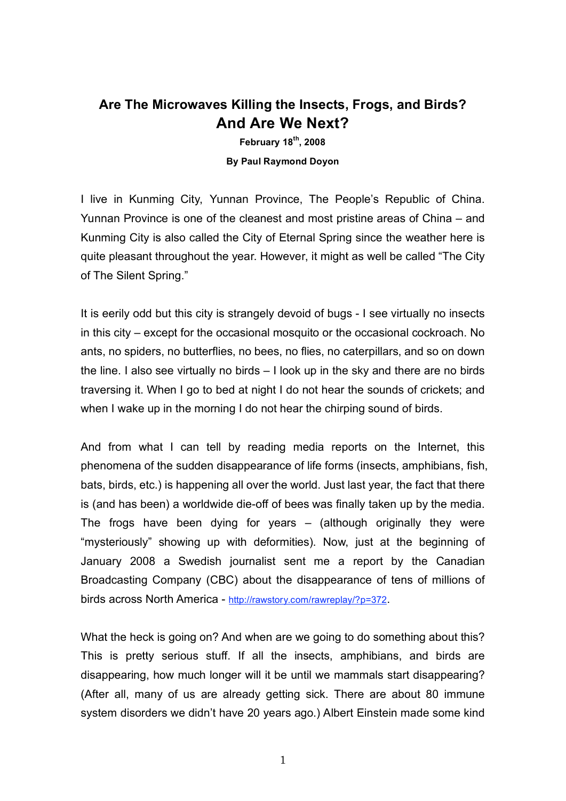# **Are The Microwaves Killing the Insects, Frogs, and Birds? And Are We Next?**

**February 18th , 2008 By Paul Raymond Doyon**

I live in Kunming City, Yunnan Province, The People's Republic of China. Yunnan Province is one of the cleanest and most pristine areas of China – and Kunming City is also called the City of Eternal Spring since the weather here is quite pleasant throughout the year. However, it might as well be called "The City of The Silent Spring."

It is eerily odd but this city is strangely devoid of bugs - I see virtually no insects in this city – except for the occasional mosquito or the occasional cockroach. No ants, no spiders, no butterflies, no bees, no flies, no caterpillars, and so on down the line. I also see virtually no birds – I look up in the sky and there are no birds traversing it. When I go to bed at night I do not hear the sounds of crickets; and when I wake up in the morning I do not hear the chirping sound of birds.

And from what I can tell by reading media reports on the Internet, this phenomena of the sudden disappearance of life forms (insects, amphibians, fish, bats, birds, etc.) is happening all over the world. Just last year, the fact that there is (and has been) a worldwide die-off of bees was finally taken up by the media. The frogs have been dying for years – (although originally they were "mysteriously" showing up with deformities). Now, just at the beginning of January 2008 a Swedish journalist sent me a report by the Canadian Broadcasting Company (CBC) about the disappearance of tens of millions of birds across North America - http://rawstory.com/rawreplay/?p=372.

What the heck is going on? And when are we going to do something about this? This is pretty serious stuff. If all the insects, amphibians, and birds are disappearing, how much longer will it be until we mammals start disappearing? (After all, many of us are already getting sick. There are about 80 immune system disorders we didn't have 20 years ago.) Albert Einstein made some kind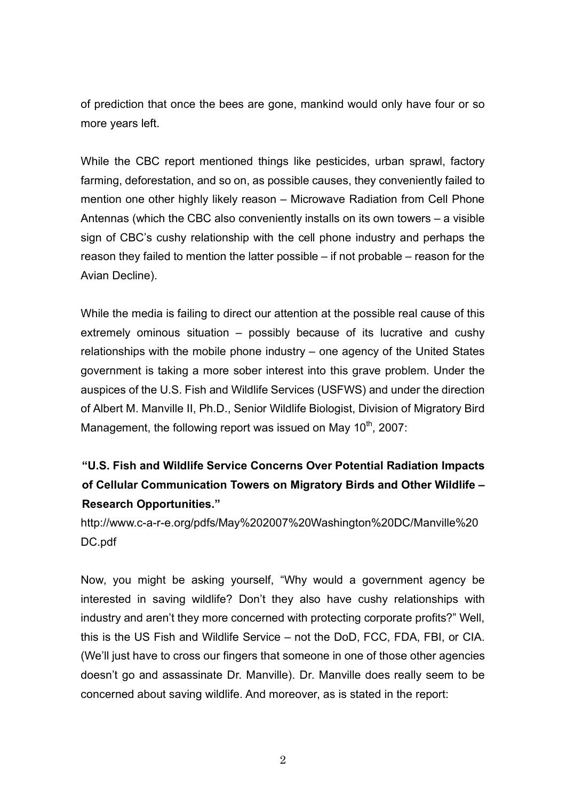of prediction that once the bees are gone, mankind would only have four or so more years left.

While the CBC report mentioned things like pesticides, urban sprawl, factory farming, deforestation, and so on, as possible causes, they conveniently failed to mention one other highly likely reason – Microwave Radiation from Cell Phone Antennas (which the CBC also conveniently installs on its own towers – a visible sign of CBC's cushy relationship with the cell phone industry and perhaps the reason they failed to mention the latter possible – if not probable – reason for the Avian Decline).

While the media is failing to direct our attention at the possible real cause of this extremely ominous situation – possibly because of its lucrative and cushy relationships with the mobile phone industry – one agency of the United States government is taking a more sober interest into this grave problem. Under the auspices of the U.S. Fish and Wildlife Services (USFWS) and under the direction of Albert M. Manville II, Ph.D., Senior Wildlife Biologist, Division of Migratory Bird Management, the following report was issued on May 10<sup>th</sup>, 2007:

# **"U.S. Fish and Wildlife Service Concerns Over Potential Radiation Impacts of Cellular Communication Towers on Migratory Birds and Other Wildlife – Research Opportunities."**

http://www.c-a-r-e.org/pdfs/May%202007%20Washington%20DC/Manville%20 DC.pdf

Now, you might be asking yourself, "Why would a government agency be interested in saving wildlife? Don't they also have cushy relationships with industry and aren't they more concerned with protecting corporate profits?" Well, this is the US Fish and Wildlife Service – not the DoD, FCC, FDA, FBI, or CIA. (We'll just have to cross our fingers that someone in one of those other agencies doesn't go and assassinate Dr. Manville). Dr. Manville does really seem to be concerned about saving wildlife. And moreover, as is stated in the report: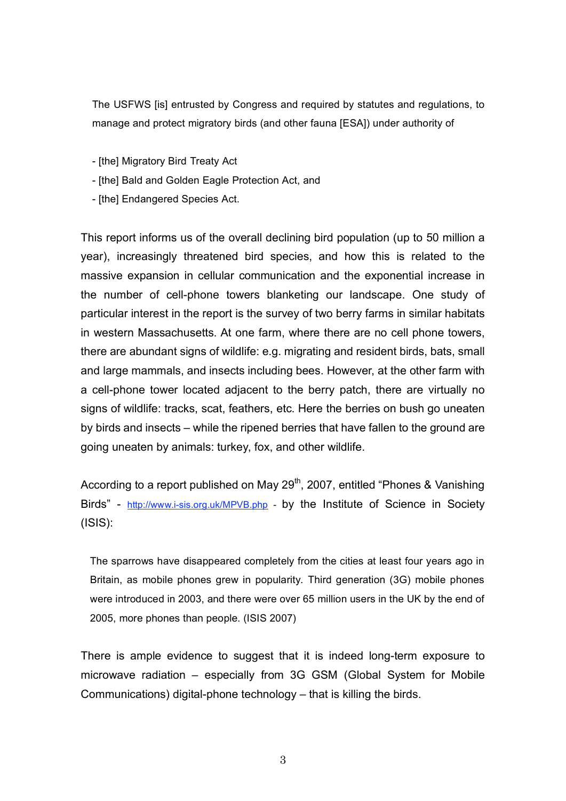The USFWS [is] entrusted by Congress and required by statutes and regulations, to manage and protect migratory birds (and other fauna [ESA]) under authority of

- [the] Migratory Bird Treaty Act

- [the] Bald and Golden Eagle Protection Act, and
- [the] Endangered Species Act.

This report informs us of the overall declining bird population (up to 50 million a year), increasingly threatened bird species, and how this is related to the massive expansion in cellular communication and the exponential increase in the number of cell-phone towers blanketing our landscape. One study of particular interest in the report is the survey of two berry farms in similar habitats in western Massachusetts. At one farm, where there are no cell phone towers, there are abundant signs of wildlife: e.g. migrating and resident birds, bats, small and large mammals, and insects including bees. However, at the other farm with a cell-phone tower located adjacent to the berry patch, there are virtually no signs of wildlife: tracks, scat, feathers, etc. Here the berries on bush go uneaten by birds and insects – while the ripened berries that have fallen to the ground are going uneaten by animals: turkey, fox, and other wildlife.

According to a report published on May 29<sup>th</sup>, 2007, entitled "Phones & Vanishing Birds" - http://www.i-sis.org.uk/MPVB.php - by the Institute of Science in Society (ISIS):

The sparrows have disappeared completely from the cities at least four years ago in Britain, as mobile phones grew in popularity. Third generation (3G) mobile phones were introduced in 2003, and there were over 65 million users in the UK by the end of 2005, more phones than people. (ISIS 2007)

There is ample evidence to suggest that it is indeed long-term exposure to microwave radiation – especially from 3G GSM (Global System for Mobile Communications) digital-phone technology – that is killing the birds.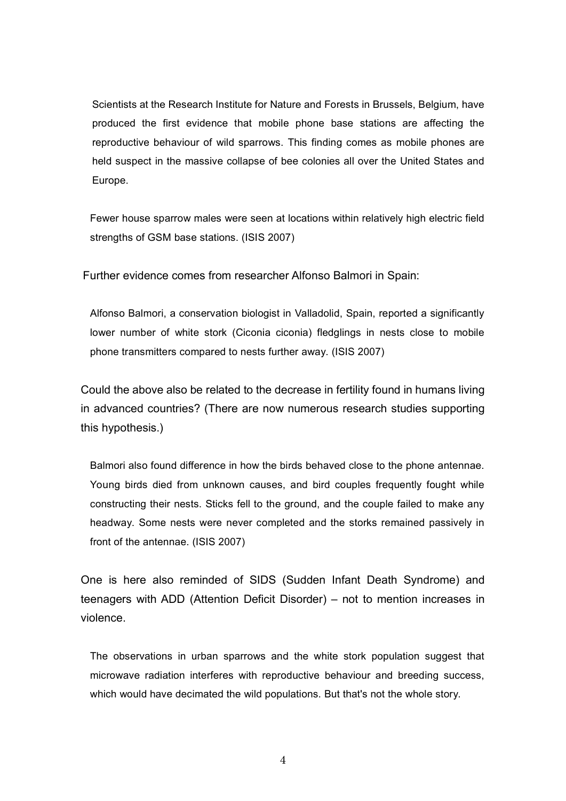Scientists at the Research Institute for Nature and Forests in Brussels, Belgium, have produced the first evidence that mobile phone base stations are affecting the reproductive behaviour of wild sparrows. This finding comes as mobile phones are held suspect in the massive collapse of bee colonies all over the United States and Europe.

Fewer house sparrow males were seen at locations within relatively high electric field strengths of GSM base stations. (ISIS 2007)

Further evidence comes from researcher Alfonso Balmori in Spain:

Alfonso Balmori, a conservation biologist in Valladolid, Spain, reported a significantly lower number of white stork (Ciconia ciconia) fledglings in nests close to mobile phone transmitters compared to nests further away. (ISIS 2007)

Could the above also be related to the decrease in fertility found in humans living in advanced countries? (There are now numerous research studies supporting this hypothesis.)

Balmori also found difference in how the birds behaved close to the phone antennae. Young birds died from unknown causes, and bird couples frequently fought while constructing their nests. Sticks fell to the ground, and the couple failed to make any headway. Some nests were never completed and the storks remained passively in front of the antennae. (ISIS 2007)

One is here also reminded of SIDS (Sudden Infant Death Syndrome) and teenagers with ADD (Attention Deficit Disorder) – not to mention increases in violence.

The observations in urban sparrows and the white stork population suggest that microwave radiation interferes with reproductive behaviour and breeding success, which would have decimated the wild populations. But that's not the whole story.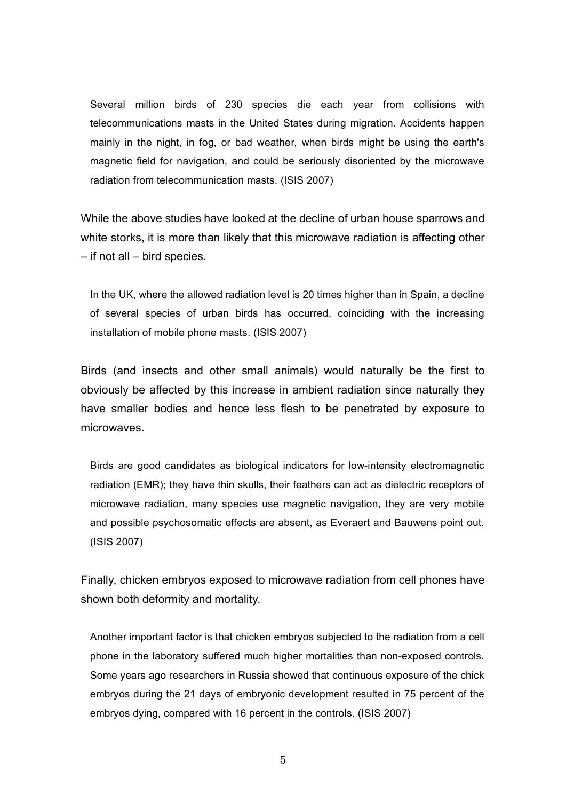Several million birds of 230 species die each year from collisions with telecommunications masts in the United States during migration. Accidents happen mainly in the night, in fog, or bad weather, when birds might be using the earth's magnetic field for navigation, and could be seriously disoriented by the microwave radiation from telecommunication masts. (ISIS 2007)

While the above studies have looked at the decline of urban house sparrows and white storks, it is more than likely that this microwave radiation is affecting other – if not all – bird species.

In the UK, where the allowed radiation level is 20 times higher than in Spain, a decline of several species of urban birds has occurred, coinciding with the increasing installation of mobile phone masts. (ISIS 2007)

Birds (and insects and other small animals) would naturally be the first to obviously be affected by this increase in ambient radiation since naturally they have smaller bodies and hence less flesh to be penetrated by exposure to microwaves.

Birds are good candidates as biological indicators for low-intensity electromagnetic radiation (EMR); they have thin skulls, their feathers can act as dielectric receptors of microwave radiation, many species use magnetic navigation, they are very mobile and possible psychosomatic effects are absent, as Everaert and Bauwens point out. (ISIS 2007)

Finally, chicken embryos exposed to microwave radiation from cell phones have shown both deformity and mortality.

Another important factor is that chicken embryos subjected to the radiation from a cell phone in the laboratory suffered much higher mortalities than non-exposed controls. Some years ago researchers in Russia showed that continuous exposure of the chick embryos during the 21 days of embryonic development resulted in 75 percent of the embryos dying, compared with 16 percent in the controls. (ISIS 2007)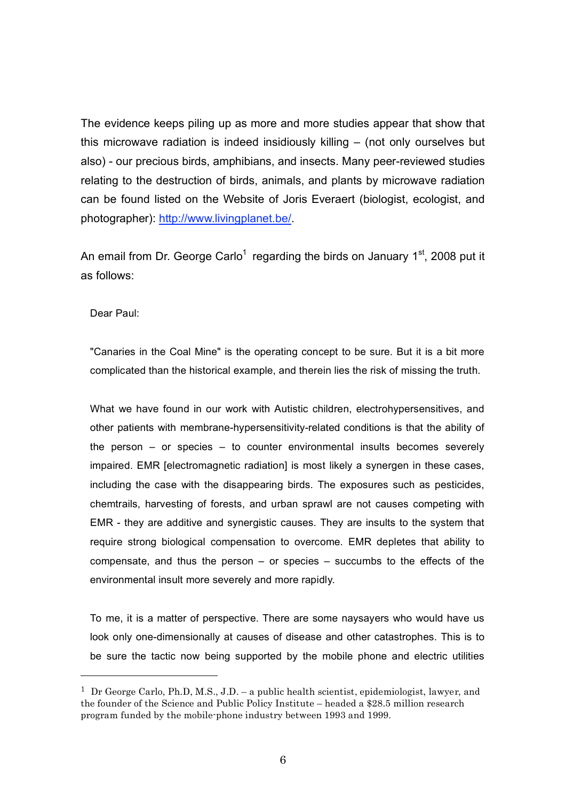The evidence keeps piling up as more and more studies appear that show that this microwave radiation is indeed insidiously killing – (not only ourselves but also) - our precious birds, amphibians, and insects. Many peer-reviewed studies relating to the destruction of birds, animals, and plants by microwave radiation can be found listed on the Website of Joris Everaert (biologist, ecologist, and photographer): http://www.livingplanet.be/.

An email from Dr. George Carlo<sup>1</sup> regarding the birds on January 1<sup>st</sup>, 2008 put it as follows:

Dear Paul:

l

"Canaries in the Coal Mine" is the operating concept to be sure. But it is a bit more complicated than the historical example, and therein lies the risk of missing the truth.

What we have found in our work with Autistic children, electrohypersensitives, and other patients with membrane-hypersensitivity-related conditions is that the ability of the person – or species – to counter environmental insults becomes severely impaired. EMR [electromagnetic radiation] is most likely a synergen in these cases, including the case with the disappearing birds. The exposures such as pesticides, chemtrails, harvesting of forests, and urban sprawl are not causes competing with EMR - they are additive and synergistic causes. They are insults to the system that require strong biological compensation to overcome. EMR depletes that ability to compensate, and thus the person – or species – succumbs to the effects of the environmental insult more severely and more rapidly.

To me, it is a matter of perspective. There are some naysayers who would have us look only one-dimensionally at causes of disease and other catastrophes. This is to be sure the tactic now being supported by the mobile phone and electric utilities

<sup>&</sup>lt;sup>1</sup> Dr George Carlo, Ph.D, M.S., J.D. – a public health scientist, epidemiologist, lawyer, and the founder of the Science and Public Policy Institute – headed a \$28.5 million research program funded by the mobile-phone industry between 1993 and 1999.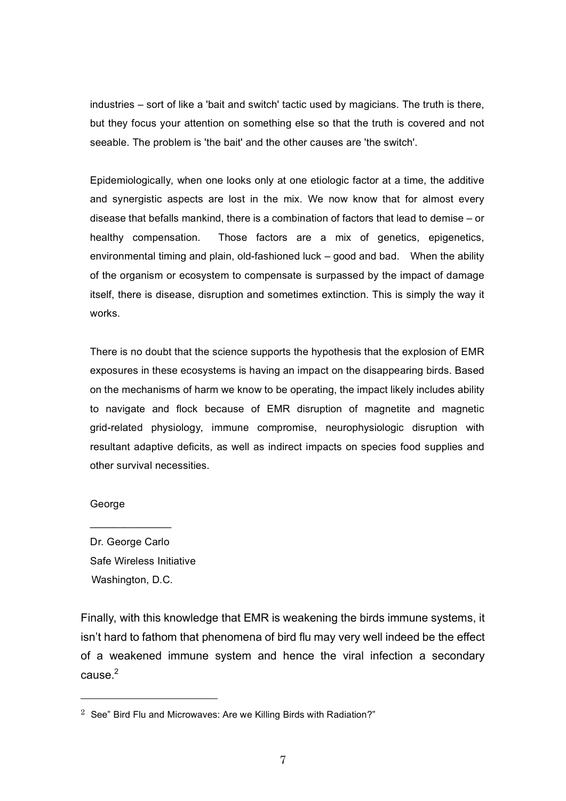industries – sort of like a 'bait and switch' tactic used by magicians. The truth is there, but they focus your attention on something else so that the truth is covered and not seeable. The problem is 'the bait' and the other causes are 'the switch'.

Epidemiologically, when one looks only at one etiologic factor at a time, the additive and synergistic aspects are lost in the mix. We now know that for almost every disease that befalls mankind, there is a combination of factors that lead to demise – or healthy compensation. Those factors are a mix of genetics, epigenetics, environmental timing and plain, old-fashioned luck – good and bad. When the ability of the organism or ecosystem to compensate is surpassed by the impact of damage itself, there is disease, disruption and sometimes extinction. This is simply the way it works.

There is no doubt that the science supports the hypothesis that the explosion of EMR exposures in these ecosystems is having an impact on the disappearing birds. Based on the mechanisms of harm we know to be operating, the impact likely includes ability to navigate and flock because of EMR disruption of magnetite and magnetic grid-related physiology, immune compromise, neurophysiologic disruption with resultant adaptive deficits, as well as indirect impacts on species food supplies and other survival necessities.

#### George

Dr. George Carlo Safe Wireless Initiative Washington, D.C.

 $\mathcal{L}_\text{max}$  , where  $\mathcal{L}_\text{max}$ 

Finally, with this knowledge that EMR is weakening the birds immune systems, it isn't hard to fathom that phenomena of bird flu may very well indeed be the effect of a weakened immune system and hence the viral infection a secondary cause. 2

<sup>&</sup>lt;sup>2</sup> See" Bird Flu and Microwaves: Are we Killing Birds with Radiation?"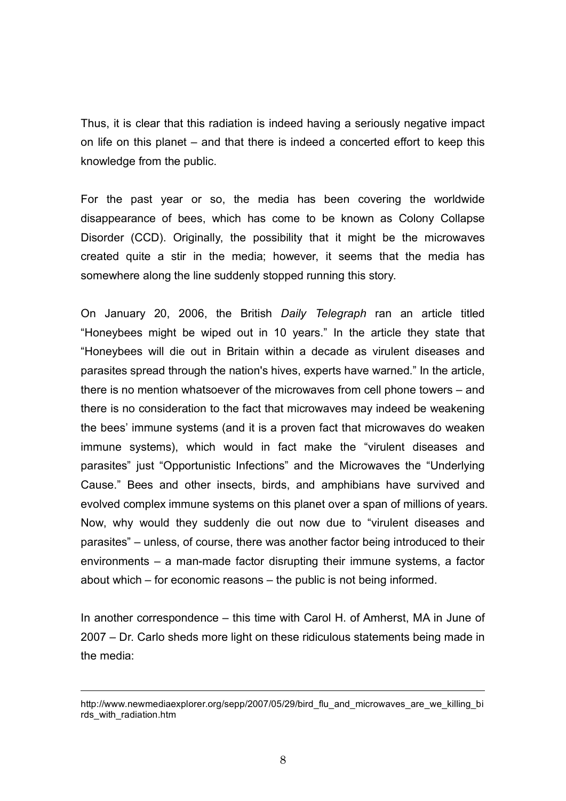Thus, it is clear that this radiation is indeed having a seriously negative impact on life on this planet – and that there is indeed a concerted effort to keep this knowledge from the public.

For the past year or so, the media has been covering the worldwide disappearance of bees, which has come to be known as Colony Collapse Disorder (CCD). Originally, the possibility that it might be the microwaves created quite a stir in the media; however, it seems that the media has somewhere along the line suddenly stopped running this story.

On January 20, 2006, the British *Daily Telegraph* ran an article titled "Honeybees might be wiped out in 10 years." In the article they state that "Honeybees will die out in Britain within a decade as virulent diseases and parasites spread through the nation's hives, experts have warned." In the article, there is no mention whatsoever of the microwaves from cell phone towers – and there is no consideration to the fact that microwaves may indeed be weakening the bees' immune systems (and it is a proven fact that microwaves do weaken immune systems), which would in fact make the "virulent diseases and parasites" just "Opportunistic Infections" and the Microwaves the "Underlying Cause." Bees and other insects, birds, and amphibians have survived and evolved complex immune systems on this planet over a span of millions of years. Now, why would they suddenly die out now due to "virulent diseases and parasites" – unless, of course, there was another factor being introduced to their environments – a man-made factor disrupting their immune systems, a factor about which – for economic reasons – the public is not being informed.

In another correspondence – this time with Carol H. of Amherst, MA in June of 2007 – Dr. Carlo sheds more light on these ridiculous statements being made in the media:

http://www.newmediaexplorer.org/sepp/2007/05/29/bird\_flu\_and\_microwaves\_are\_we\_killing\_bi\_ rds\_with\_radiation.htm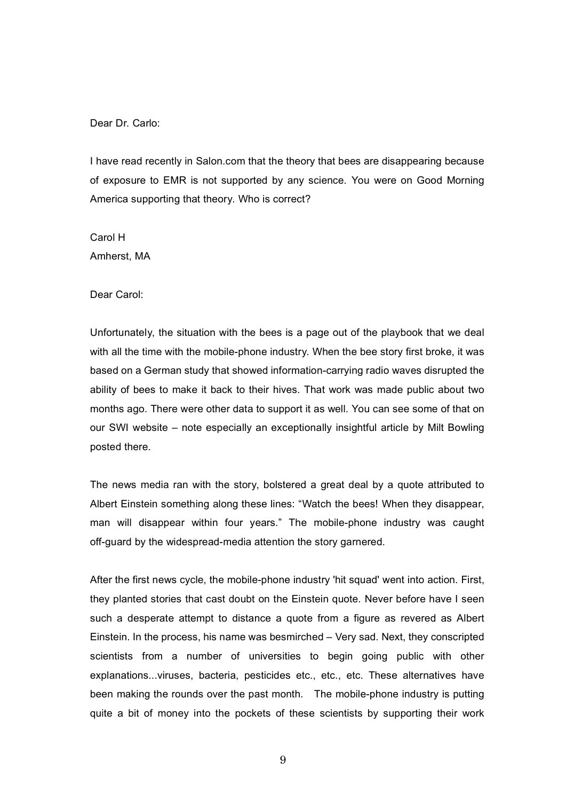Dear Dr. Carlo:

I have read recently in Salon.com that the theory that bees are disappearing because of exposure to EMR is not supported by any science. You were on Good Morning America supporting that theory. Who is correct?

Carol H Amherst, MA

Dear Carol:

Unfortunately, the situation with the bees is a page out of the playbook that we deal with all the time with the mobile-phone industry. When the bee story first broke, it was based on a German study that showed information-carrying radio waves disrupted the ability of bees to make it back to their hives. That work was made public about two months ago. There were other data to support it as well. You can see some of that on our SWI website – note especially an exceptionally insightful article by Milt Bowling posted there.

The news media ran with the story, bolstered a great deal by a quote attributed to Albert Einstein something along these lines: "Watch the bees! When they disappear, man will disappear within four years." The mobile-phone industry was caught off-guard by the widespread-media attention the story garnered.

After the first news cycle, the mobile-phone industry 'hit squad' went into action. First, they planted stories that cast doubt on the Einstein quote. Never before have I seen such a desperate attempt to distance a quote from a figure as revered as Albert Einstein. In the process, his name was besmirched – Very sad. Next, they conscripted scientists from a number of universities to begin going public with other explanations...viruses, bacteria, pesticides etc., etc., etc. These alternatives have been making the rounds over the past month. The mobile-phone industry is putting quite a bit of money into the pockets of these scientists by supporting their work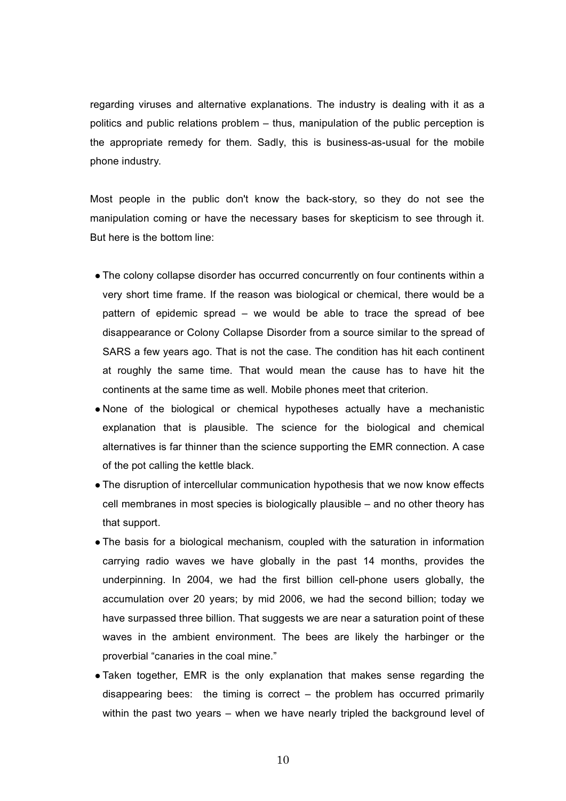regarding viruses and alternative explanations. The industry is dealing with it as a politics and public relations problem – thus, manipulation of the public perception is the appropriate remedy for them. Sadly, this is business-as-usual for the mobile phone industry.

Most people in the public don't know the back-story, so they do not see the manipulation coming or have the necessary bases for skepticism to see through it. But here is the bottom line:

- The colony collapse disorder has occurred concurrently on four continents within a very short time frame. If the reason was biological or chemical, there would be a pattern of epidemic spread – we would be able to trace the spread of bee disappearance or Colony Collapse Disorder from a source similar to the spread of SARS a few years ago. That is not the case. The condition has hit each continent at roughly the same time. That would mean the cause has to have hit the continents at the same time as well. Mobile phones meet that criterion.
- None of the biological or chemical hypotheses actually have a mechanistic explanation that is plausible. The science for the biological and chemical alternatives is far thinner than the science supporting the EMR connection. A case of the pot calling the kettle black.
- The disruption of intercellular communication hypothesis that we now know effects cell membranes in most species is biologically plausible – and no other theory has that support.
- The basis for a biological mechanism, coupled with the saturation in information carrying radio waves we have globally in the past 14 months, provides the underpinning. In 2004, we had the first billion cell-phone users globally, the accumulation over 20 years; by mid 2006, we had the second billion; today we have surpassed three billion. That suggests we are near a saturation point of these waves in the ambient environment. The bees are likely the harbinger or the proverbial "canaries in the coal mine."
- Taken together, EMR is the only explanation that makes sense regarding the disappearing bees: the timing is correct – the problem has occurred primarily within the past two years – when we have nearly tripled the background level of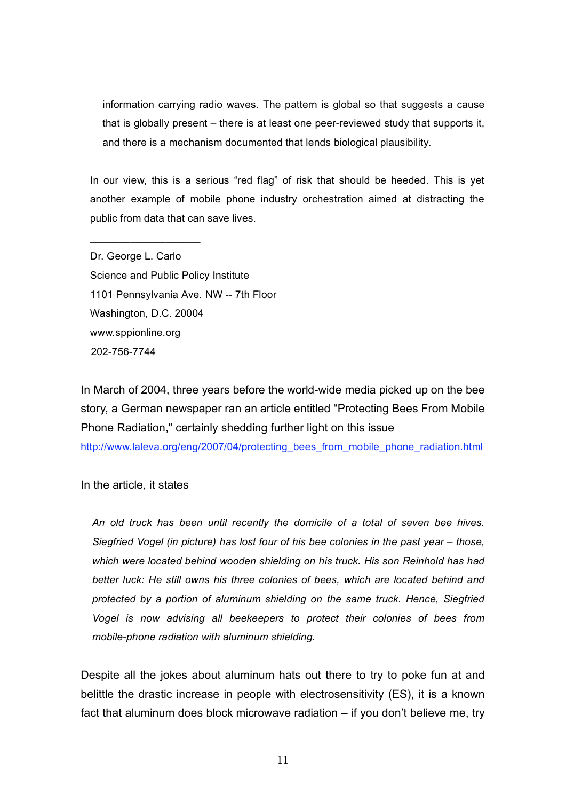information carrying radio waves. The pattern is global so that suggests a cause that is globally present – there is at least one peer-reviewed study that supports it, and there is a mechanism documented that lends biological plausibility.

In our view, this is a serious "red flag" of risk that should be heeded. This is yet another example of mobile phone industry orchestration aimed at distracting the public from data that can save lives.

Dr. George L. Carlo Science and Public Policy Institute 1101 Pennsylvania Ave. NW -- 7th Floor Washington, D.C. 20004 www.sppionline.org 202-756-7744

 $\_$ 

In March of 2004, three years before the world-wide media picked up on the bee story, a German newspaper ran an article entitled "Protecting Bees From Mobile Phone Radiation," certainly shedding further light on this issue

http://www.laleva.org/eng/2007/04/protecting\_bees\_from\_mobile\_phone\_radiation.html

In the article, it states

*An old truck has been until recently the domicile of a total of seven bee hives. Siegfried Vogel (in picture) has lost four of his bee colonies in the past year – those, which were located behind wooden shielding on his truck. His son Reinhold has had better luck: He still owns his three colonies of bees, which are located behind and protected by a portion of aluminum shielding on the same truck. Hence, Siegfried Vogel is now advising all beekeepers to protect their colonies of bees from mobile-phone radiation with aluminum shielding.*

Despite all the jokes about aluminum hats out there to try to poke fun at and belittle the drastic increase in people with electrosensitivity (ES), it is a known fact that aluminum does block microwave radiation – if you don't believe me, try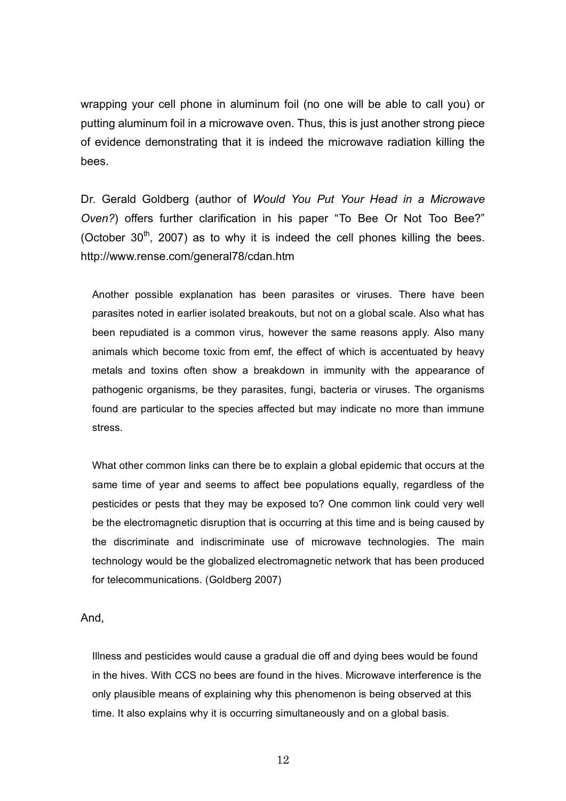wrapping your cell phone in aluminum foil (no one will be able to call you) or putting aluminum foil in a microwave oven. Thus, this is just another strong piece of evidence demonstrating that it is indeed the microwave radiation killing the bees.

Dr. Gerald Goldberg (author of *Would You Put Your Head in a Microwave Oven?*) offers further clarification in his paper "To Bee Or Not Too Bee?" (October  $30<sup>th</sup>$ , 2007) as to why it is indeed the cell phones killing the bees. http://www.rense.com/general78/cdan.htm

Another possible explanation has been parasites or viruses. There have been parasites noted in earlier isolated breakouts, but not on a global scale. Also what has been repudiated is a common virus, however the same reasons apply. Also many animals which become toxic from emf, the effect of which is accentuated by heavy metals and toxins often show a breakdown in immunity with the appearance of pathogenic organisms, be they parasites, fungi, bacteria or viruses. The organisms found are particular to the species affected but may indicate no more than immune stress.

What other common links can there be to explain a global epidemic that occurs at the same time of year and seems to affect bee populations equally, regardless of the pesticides or pests that they may be exposed to? One common link could very well be the electromagnetic disruption that is occurring at this time and is being caused by the discriminate and indiscriminate use of microwave technologies. The main technology would be the globalized electromagnetic network that has been produced for telecommunications. (Goldberg 2007)

And,

Illness and pesticides would cause a gradual die off and dying bees would be found in the hives. With CCS no bees are found in the hives. Microwave interference is the only plausible means of explaining why this phenomenon is being observed at this time. It also explains why it is occurring simultaneously and on a global basis.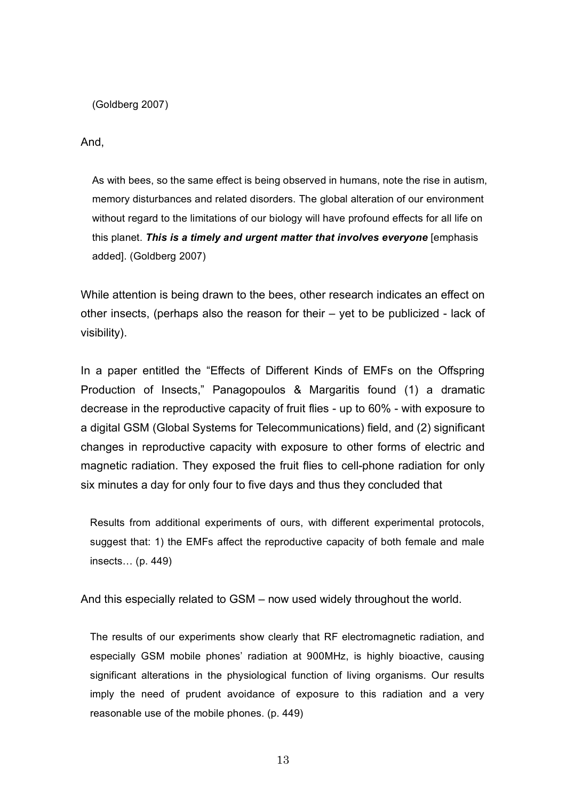(Goldberg 2007)

And,

As with bees, so the same effect is being observed in humans, note the rise in autism, memory disturbances and related disorders. The global alteration of our environment without regard to the limitations of our biology will have profound effects for all life on this planet. *This is a timely and urgent matter that involves everyone* [emphasis added]. (Goldberg 2007)

While attention is being drawn to the bees, other research indicates an effect on other insects, (perhaps also the reason for their – yet to be publicized - lack of visibility).

In a paper entitled the "Effects of Different Kinds of EMFs on the Offspring Production of Insects," Panagopoulos & Margaritis found (1) a dramatic decrease in the reproductive capacity of fruit flies - up to 60% - with exposure to a digital GSM (Global Systems for Telecommunications) field, and (2) significant changes in reproductive capacity with exposure to other forms of electric and magnetic radiation. They exposed the fruit flies to cell-phone radiation for only six minutes a day for only four to five days and thus they concluded that

Results from additional experiments of ours, with different experimental protocols, suggest that: 1) the EMFs affect the reproductive capacity of both female and male insects… (p. 449)

And this especially related to GSM – now used widely throughout the world.

The results of our experiments show clearly that RF electromagnetic radiation, and especially GSM mobile phones' radiation at 900MHz, is highly bioactive, causing significant alterations in the physiological function of living organisms. Our results imply the need of prudent avoidance of exposure to this radiation and a very reasonable use of the mobile phones. (p. 449)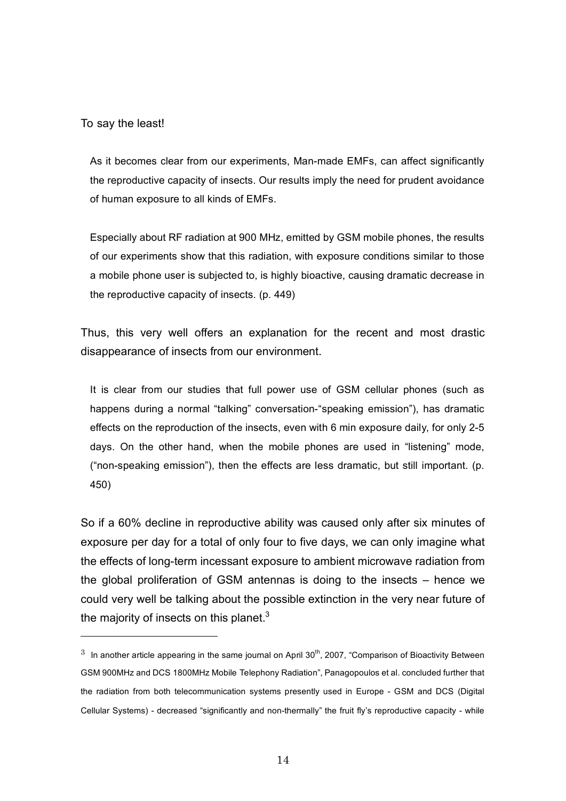To say the least!

l

As it becomes clear from our experiments, Man-made EMFs, can affect significantly the reproductive capacity of insects. Our results imply the need for prudent avoidance of human exposure to all kinds of EMFs.

Especially about RF radiation at 900 MHz, emitted by GSM mobile phones, the results of our experiments show that this radiation, with exposure conditions similar to those a mobile phone user is subjected to, is highly bioactive, causing dramatic decrease in the reproductive capacity of insects. (p. 449)

Thus, this very well offers an explanation for the recent and most drastic disappearance of insects from our environment.

It is clear from our studies that full power use of GSM cellular phones (such as happens during a normal "talking" conversation-"speaking emission"), has dramatic effects on the reproduction of the insects, even with 6 min exposure daily, for only 2-5 days. On the other hand, when the mobile phones are used in "listening" mode, ("non-speaking emission"), then the effects are less dramatic, but still important. (p. 450)

So if a 60% decline in reproductive ability was caused only after six minutes of exposure per day for a total of only four to five days, we can only imagine what the effects of long-term incessant exposure to ambient microwave radiation from the global proliferation of GSM antennas is doing to the insects – hence we could very well be talking about the possible extinction in the very near future of the majority of insects on this planet. $3$ 

 $3$  In another article appearing in the same journal on April  $30<sup>th</sup>$ , 2007, "Comparison of Bioactivity Between GSM 900MHz and DCS 1800MHz Mobile Telephony Radiation", Panagopoulos et al. concluded further that the radiation from both telecommunication systems presently used in Europe - GSM and DCS (Digital Cellular Systems) - decreased "significantly and non-thermally" the fruit fly's reproductive capacity - while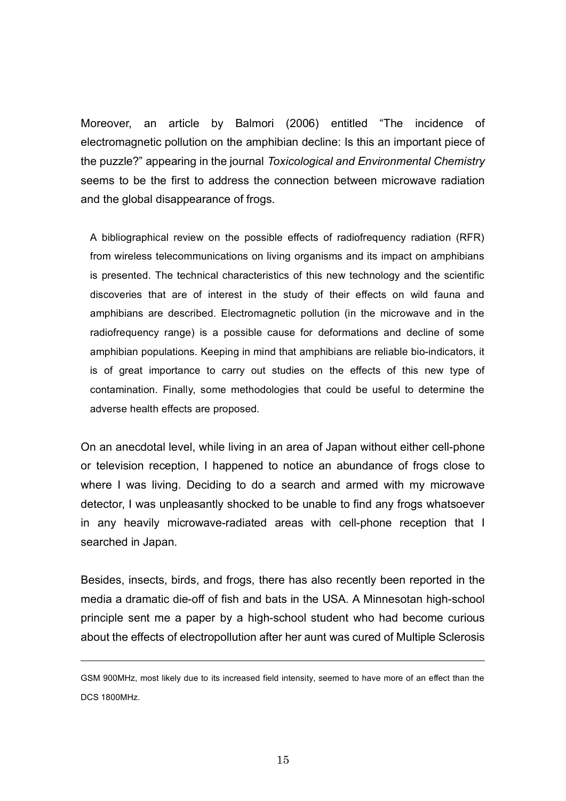Moreover, an article by Balmori (2006) entitled "The incidence of electromagnetic pollution on the amphibian decline: Is this an important piece of the puzzle?" appearing in the journal *Toxicological and Environmental Chemistry* seems to be the first to address the connection between microwave radiation and the global disappearance of frogs.

A bibliographical review on the possible effects of radiofrequency radiation (RFR) from wireless telecommunications on living organisms and its impact on amphibians is presented. The technical characteristics of this new technology and the scientific discoveries that are of interest in the study of their effects on wild fauna and amphibians are described. Electromagnetic pollution (in the microwave and in the radiofrequency range) is a possible cause for deformations and decline of some amphibian populations. Keeping in mind that amphibians are reliable bio-indicators, it is of great importance to carry out studies on the effects of this new type of contamination. Finally, some methodologies that could be useful to determine the adverse health effects are proposed.

On an anecdotal level, while living in an area of Japan without either cell-phone or television reception, I happened to notice an abundance of frogs close to where I was living. Deciding to do a search and armed with my microwave detector, I was unpleasantly shocked to be unable to find any frogs whatsoever in any heavily microwave-radiated areas with cell-phone reception that I searched in Japan.

Besides, insects, birds, and frogs, there has also recently been reported in the media a dramatic die-off of fish and bats in the USA. A Minnesotan high-school principle sent me a paper by a high-school student who had become curious about the effects of electropollution after her aunt was cured of Multiple Sclerosis

GSM 900MHz, most likely due to its increased field intensity, seemed to have more of an effect than the DCS 1800MHz.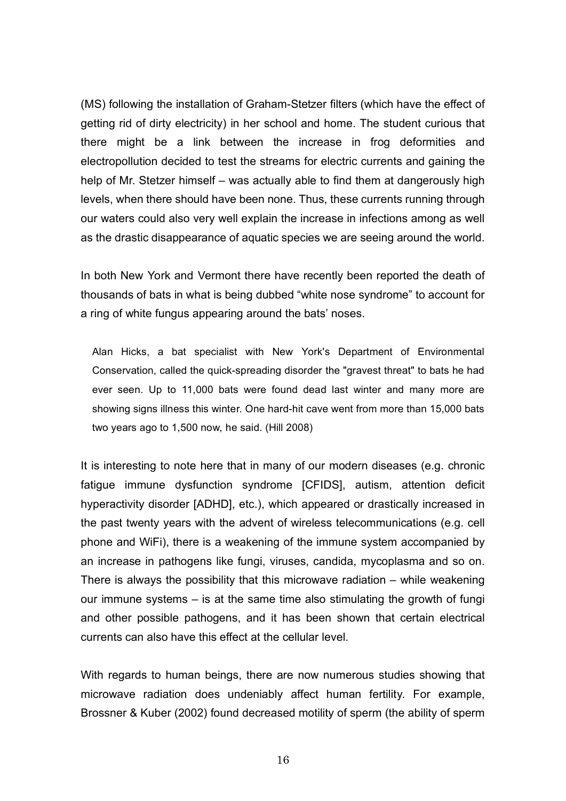(MS) following the installation of Graham-Stetzer filters (which have the effect of getting rid of dirty electricity) in her school and home. The student curious that there might be a link between the increase in frog deformities and electropollution decided to test the streams for electric currents and gaining the help of Mr. Stetzer himself – was actually able to find them at dangerously high levels, when there should have been none. Thus, these currents running through our waters could also very well explain the increase in infections among as well as the drastic disappearance of aquatic species we are seeing around the world.

In both New York and Vermont there have recently been reported the death of thousands of bats in what is being dubbed "white nose syndrome" to account for a ring of white fungus appearing around the bats' noses.

Alan Hicks, a bat specialist with New York's Department of Environmental Conservation, called the quick-spreading disorder the "gravest threat" to bats he had ever seen. Up to 11,000 bats were found dead last winter and many more are showing signs illness this winter. One hard-hit cave went from more than 15,000 bats two years ago to 1,500 now, he said. (Hill 2008)

It is interesting to note here that in many of our modern diseases (e.g. chronic fatigue immune dysfunction syndrome [CFIDS], autism, attention deficit hyperactivity disorder [ADHD], etc.), which appeared or drastically increased in the past twenty years with the advent of wireless telecommunications (e.g. cell phone and WiFi), there is a weakening of the immune system accompanied by an increase in pathogens like fungi, viruses, candida, mycoplasma and so on. There is always the possibility that this microwave radiation – while weakening our immune systems – is at the same time also stimulating the growth of fungi and other possible pathogens, and it has been shown that certain electrical currents can also have this effect at the cellular level.

With regards to human beings, there are now numerous studies showing that microwave radiation does undeniably affect human fertility. For example, Brossner & Kuber (2002) found decreased motility of sperm (the ability of sperm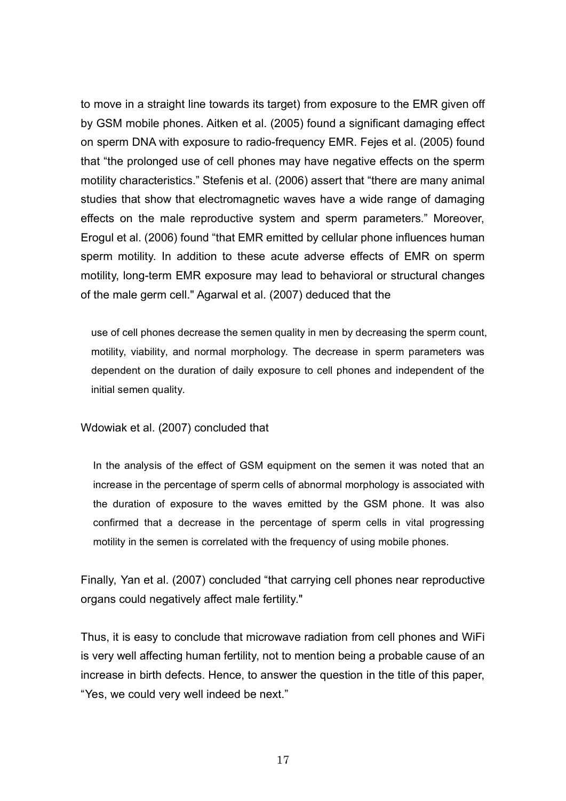to move in a straight line towards its target) from exposure to the EMR given off by GSM mobile phones. Aitken et al. (2005) found a significant damaging effect on sperm DNA with exposure to radio-frequency EMR. Fejes et al. (2005) found that "the prolonged use of cell phones may have negative effects on the sperm motility characteristics." Stefenis et al. (2006) assert that "there are many animal studies that show that electromagnetic waves have a wide range of damaging effects on the male reproductive system and sperm parameters." Moreover, Erogul et al. (2006) found "that EMR emitted by cellular phone influences human sperm motility. In addition to these acute adverse effects of EMR on sperm motility, long-term EMR exposure may lead to behavioral or structural changes of the male germ cell." Agarwal et al. (2007) deduced that the

use of cell phones decrease the semen quality in men by decreasing the sperm count, motility, viability, and normal morphology. The decrease in sperm parameters was dependent on the duration of daily exposure to cell phones and independent of the initial semen quality.

### Wdowiak et al. (2007) concluded that

In the analysis of the effect of GSM equipment on the semen it was noted that an increase in the percentage of sperm cells of abnormal morphology is associated with the duration of exposure to the waves emitted by the GSM phone. It was also confirmed that a decrease in the percentage of sperm cells in vital progressing motility in the semen is correlated with the frequency of using mobile phones.

Finally, Yan et al. (2007) concluded "that carrying cell phones near reproductive organs could negatively affect male fertility."

Thus, it is easy to conclude that microwave radiation from cell phones and WiFi is very well affecting human fertility, not to mention being a probable cause of an increase in birth defects. Hence, to answer the question in the title of this paper, "Yes, we could very well indeed be next."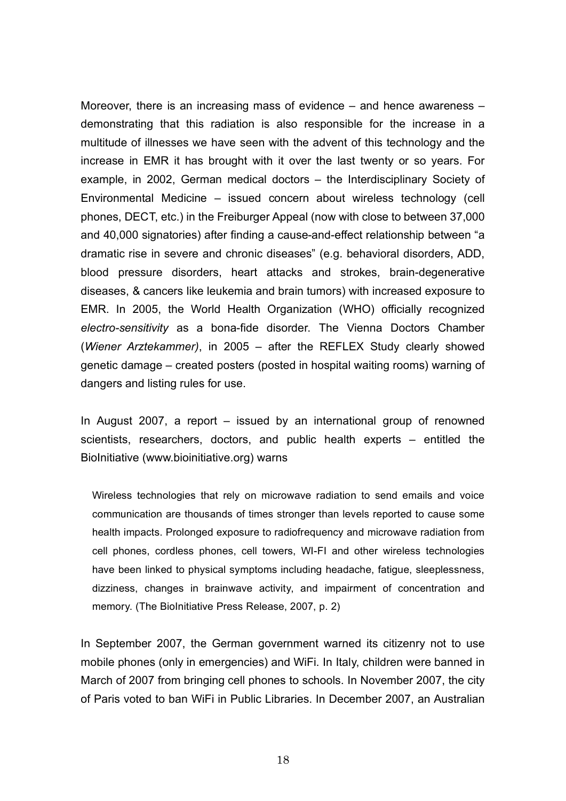Moreover, there is an increasing mass of evidence – and hence awareness – demonstrating that this radiation is also responsible for the increase in a multitude of illnesses we have seen with the advent of this technology and the increase in EMR it has brought with it over the last twenty or so years. For example, in 2002, German medical doctors – the Interdisciplinary Society of Environmental Medicine – issued concern about wireless technology (cell phones, DECT, etc.) in the Freiburger Appeal (now with close to between 37,000 and 40,000 signatories) after finding a cause-and-effect relationship between "a dramatic rise in severe and chronic diseases" (e.g. behavioral disorders, ADD, blood pressure disorders, heart attacks and strokes, brain-degenerative diseases, & cancers like leukemia and brain tumors) with increased exposure to EMR. In 2005, the World Health Organization (WHO) officially recognized *electro-sensitivity* as a bona-fide disorder. The Vienna Doctors Chamber (*Wiener Arztekammer)*, in 2005 – after the REFLEX Study clearly showed genetic damage – created posters (posted in hospital waiting rooms) warning of dangers and listing rules for use.

In August 2007, a report – issued by an international group of renowned scientists, researchers, doctors, and public health experts – entitled the BioInitiative (www.bioinitiative.org) warns

Wireless technologies that rely on microwave radiation to send emails and voice communication are thousands of times stronger than levels reported to cause some health impacts. Prolonged exposure to radiofrequency and microwave radiation from cell phones, cordless phones, cell towers, WI-FI and other wireless technologies have been linked to physical symptoms including headache, fatigue, sleeplessness, dizziness, changes in brainwave activity, and impairment of concentration and memory. (The BioInitiative Press Release, 2007, p. 2)

In September 2007, the German government warned its citizenry not to use mobile phones (only in emergencies) and WiFi. In Italy, children were banned in March of 2007 from bringing cell phones to schools. In November 2007, the city of Paris voted to ban WiFi in Public Libraries. In December 2007, an Australian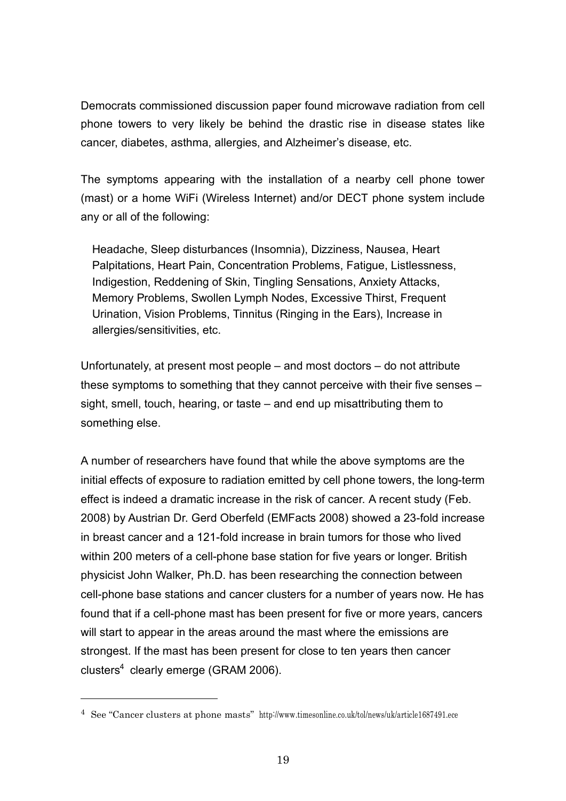Democrats commissioned discussion paper found microwave radiation from cell phone towers to very likely be behind the drastic rise in disease states like cancer, diabetes, asthma, allergies, and Alzheimer's disease, etc.

The symptoms appearing with the installation of a nearby cell phone tower (mast) or a home WiFi (Wireless Internet) and/or DECT phone system include any or all of the following:

Headache, Sleep disturbances (Insomnia), Dizziness, Nausea, Heart Palpitations, Heart Pain, Concentration Problems, Fatigue, Listlessness, Indigestion, Reddening of Skin, Tingling Sensations, Anxiety Attacks, Memory Problems, Swollen Lymph Nodes, Excessive Thirst, Frequent Urination, Vision Problems, Tinnitus (Ringing in the Ears), Increase in allergies/sensitivities, etc.

Unfortunately, at present most people – and most doctors – do not attribute these symptoms to something that they cannot perceive with their five senses – sight, smell, touch, hearing, or taste – and end up misattributing them to something else.

A number of researchers have found that while the above symptoms are the initial effects of exposure to radiation emitted by cell phone towers, the long-term effect is indeed a dramatic increase in the risk of cancer. A recent study (Feb. 2008) by Austrian Dr. Gerd Oberfeld (EMFacts 2008) showed a 23-fold increase in breast cancer and a 121-fold increase in brain tumors for those who lived within 200 meters of a cell-phone base station for five years or longer. British physicist John Walker, Ph.D. has been researching the connection between cell-phone base stations and cancer clusters for a number of years now. He has found that if a cell-phone mast has been present for five or more years, cancers will start to appear in the areas around the mast where the emissions are strongest. If the mast has been present for close to ten years then cancer clusters $4$  clearly emerge (GRAM 2006).

<sup>4</sup> See "Cancer clusters at phone masts" http://www.timesonline.co.uk/tol/news/uk/article1687491.ece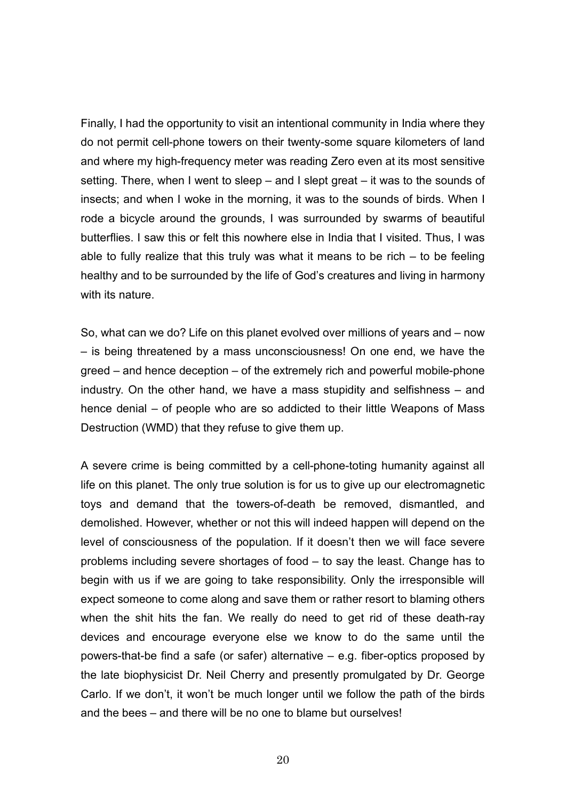Finally, I had the opportunity to visit an intentional community in India where they do not permit cell-phone towers on their twenty-some square kilometers of land and where my high-frequency meter was reading Zero even at its most sensitive setting. There, when I went to sleep – and I slept great – it was to the sounds of insects; and when I woke in the morning, it was to the sounds of birds. When I rode a bicycle around the grounds, I was surrounded by swarms of beautiful butterflies. I saw this or felt this nowhere else in India that I visited. Thus, I was able to fully realize that this truly was what it means to be rich  $-$  to be feeling healthy and to be surrounded by the life of God's creatures and living in harmony with its nature.

So, what can we do? Life on this planet evolved over millions of years and – now – is being threatened by a mass unconsciousness! On one end, we have the greed – and hence deception – of the extremely rich and powerful mobile-phone industry. On the other hand, we have a mass stupidity and selfishness – and hence denial – of people who are so addicted to their little Weapons of Mass Destruction (WMD) that they refuse to give them up.

A severe crime is being committed by a cell-phone-toting humanity against all life on this planet. The only true solution is for us to give up our electromagnetic toys and demand that the towers-of-death be removed, dismantled, and demolished. However, whether or not this will indeed happen will depend on the level of consciousness of the population. If it doesn't then we will face severe problems including severe shortages of food – to say the least. Change has to begin with us if we are going to take responsibility. Only the irresponsible will expect someone to come along and save them or rather resort to blaming others when the shit hits the fan. We really do need to get rid of these death-ray devices and encourage everyone else we know to do the same until the powers-that-be find a safe (or safer) alternative – e.g. fiber-optics proposed by the late biophysicist Dr. Neil Cherry and presently promulgated by Dr. George Carlo. If we don't, it won't be much longer until we follow the path of the birds and the bees – and there will be no one to blame but ourselves!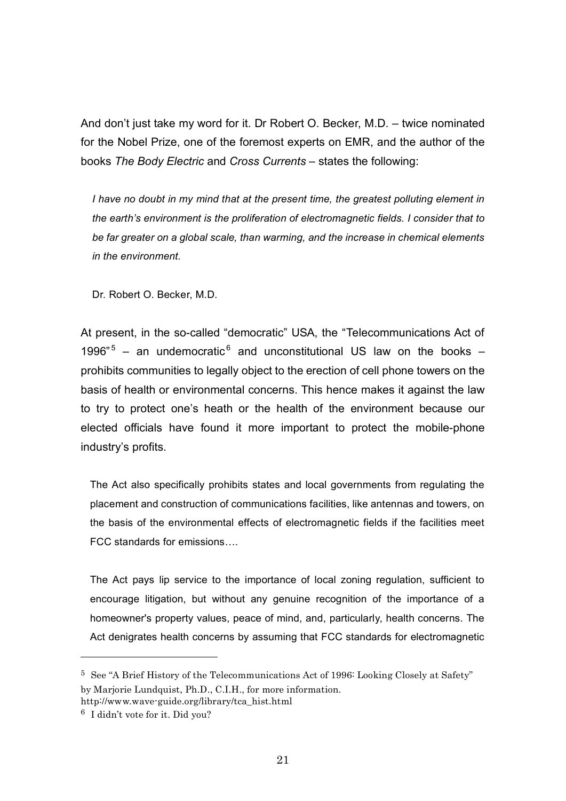And don't just take my word for it. Dr Robert O. Becker, M.D. – twice nominated for the Nobel Prize, one of the foremost experts on EMR, and the author of the books *The Body Electric* and *Cross Currents* – states the following:

*I have no doubt in my mind that at the present time, the greatest polluting element in the earth's environment is the proliferation of electromagnetic fields. I consider that to be far greater on a global scale, than warming, and the increase in chemical elements in the environment.*

Dr. Robert O. Becker, M.D.

At present, in the so-called "democratic" USA, the "Telecommunications Act of 1996"<sup>5</sup> – an undemocratic<sup>6</sup> and unconstitutional US law on the books – prohibits communities to legally object to the erection of cell phone towers on the basis of health or environmental concerns. This hence makes it against the law to try to protect one's heath or the health of the environment because our elected officials have found it more important to protect the mobile-phone industry's profits.

The Act also specifically prohibits states and local governments from regulating the placement and construction of communications facilities, like antennas and towers, on the basis of the environmental effects of electromagnetic fields if the facilities meet FCC standards for emissions….

The Act pays lip service to the importance of local zoning regulation, sufficient to encourage litigation, but without any genuine recognition of the importance of a homeowner's property values, peace of mind, and, particularly, health concerns. The Act denigrates health concerns by assuming that FCC standards for electromagnetic

l

<sup>5</sup> See "A Brief History of the Telecommunications Act of 1996: Looking Closely at Safety" by Marjorie Lundquist, Ph.D., C.I.H., for more information.

http://www.wave-guide.org/library/tca\_hist.html

<sup>6</sup> I didn't vote for it. Did you?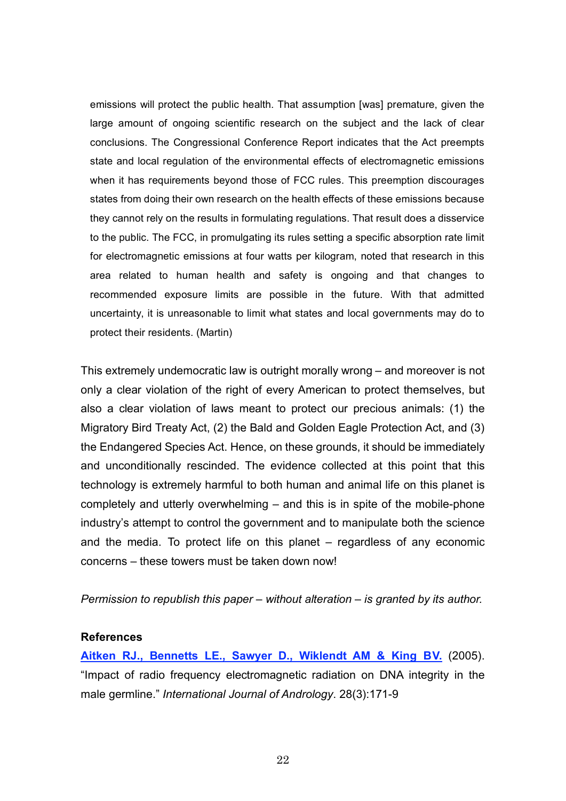emissions will protect the public health. That assumption [was] premature, given the large amount of ongoing scientific research on the subject and the lack of clear conclusions. The Congressional Conference Report indicates that the Act preempts state and local regulation of the environmental effects of electromagnetic emissions when it has requirements beyond those of FCC rules. This preemption discourages states from doing their own research on the health effects of these emissions because they cannot rely on the results in formulating regulations. That result does a disservice to the public. The FCC, in promulgating its rules setting a specific absorption rate limit for electromagnetic emissions at four watts per kilogram, noted that research in this area related to human health and safety is ongoing and that changes to recommended exposure limits are possible in the future. With that admitted uncertainty, it is unreasonable to limit what states and local governments may do to protect their residents. (Martin)

This extremely undemocratic law is outright morally wrong – and moreover is not only a clear violation of the right of every American to protect themselves, but also a clear violation of laws meant to protect our precious animals: (1) the Migratory Bird Treaty Act, (2) the Bald and Golden Eagle Protection Act, and (3) the Endangered Species Act. Hence, on these grounds, it should be immediately and unconditionally rescinded. The evidence collected at this point that this technology is extremely harmful to both human and animal life on this planet is completely and utterly overwhelming – and this is in spite of the mobile-phone industry's attempt to control the government and to manipulate both the science and the media. To protect life on this planet – regardless of any economic concerns – these towers must be taken down now!

*Permission to republish this paper – without alteration – is granted by its author.*

### **References**

**Aitken RJ., Bennetts LE., Sawyer D., Wiklendt AM & King BV.** (2005). "Impact of radio frequency electromagnetic radiation on DNA integrity in the male germline." *International Journal of Andrology*. 28(3):171-9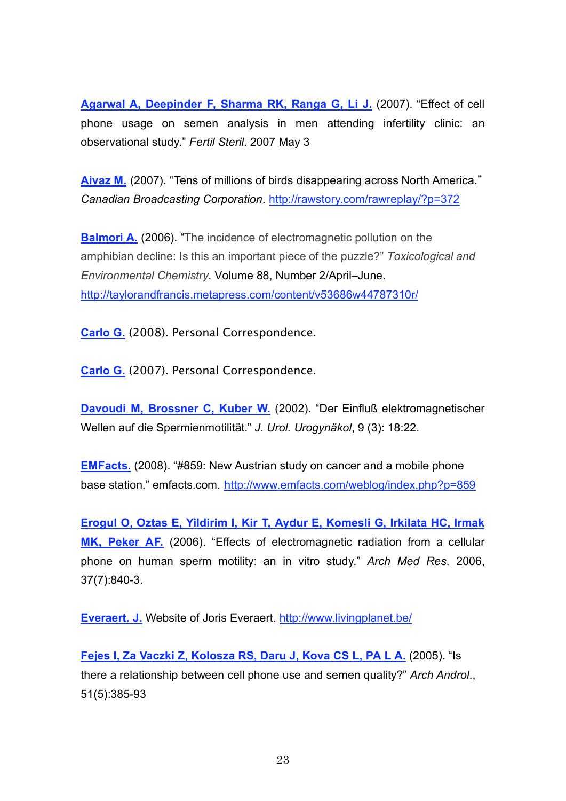**Agarwal A, Deepinder F, Sharma RK, Ranga G, Li J.** (2007). "Effect of cell phone usage on semen analysis in men attending infertility clinic: an observational study." *Fertil Steril*. 2007 May 3

**Aivaz M.** (2007). "Tens of millions of birds disappearing across North America." *Canadian Broadcasting Corporation*. http://rawstory.com/rawreplay/?p=372

**Balmori A.** (2006). "The incidence of electromagnetic pollution on the amphibian decline: Is this an important piece of the puzzle?" *Toxicological and Environmental Chemistry*. Volume 88, Number 2/April–June. http://taylorandfrancis.metapress.com/content/v53686w44787310r/

**Carlo G.** (2008). Personal Correspondence.

**Carlo G.** (2007). Personal Correspondence.

**Davoudi M, Brossner C, Kuber W.** (2002). "Der Einfluß elektromagnetischer Wellen auf die Spermienmotilität." *J. Urol. Urogynäkol*, 9 (3): 18:22.

**EMFacts.** (2008). "#859: New Austrian study on cancer and a mobile phone base station." emfacts.com. http://www.emfacts.com/weblog/index.php?p=859

**Erogul O, Oztas E, Yildirim I, Kir T, Aydur E, Komesli G, Irkilata HC, Irmak MK, Peker AF.** (2006). "Effects of electromagnetic radiation from a cellular phone on human sperm motility: an in vitro study." *Arch Med Res*. 2006, 37(7):840-3.

**Everaert. J.** Website of Joris Everaert. http://www.livingplanet.be/

**Fejes I, Za Vaczki Z, Kolosza RS, Daru J, Kova CS L, PA L A.** (2005). "Is there a relationship between cell phone use and semen quality?" *Arch Androl*., 51(5):385-93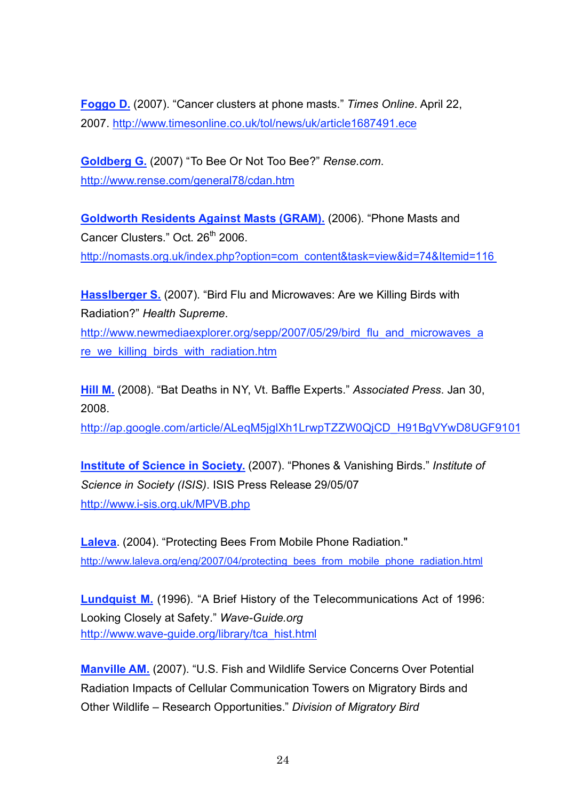**Foggo D.** (2007). "Cancer clusters at phone masts." *Times Online*. April 22, 2007. http://www.timesonline.co.uk/tol/news/uk/article1687491.ece

**Goldberg G.** (2007) "To Bee Or Not Too Bee?" *Rense.com*. http://www.rense.com/general78/cdan.htm

**Goldworth Residents Against Masts (GRAM).** (2006). "Phone Masts and Cancer Clusters." Oct. 26<sup>th</sup> 2006. http://nomasts.org.uk/index.php?option=com\_content&task=view&id=74&Itemid=116

**Hasslberger S.** (2007). "Bird Flu and Microwaves: Are we Killing Birds with Radiation?" *Health Supreme*.

http://www.newmediaexplorer.org/sepp/2007/05/29/bird\_flu\_and\_microwaves\_a re\_we\_killing\_birds\_with\_radiation.htm

**Hill M.** (2008). "Bat Deaths in NY, Vt. Baffle Experts." *Associated Press*. Jan 30, 2008.

http://ap.google.com/article/ALeqM5jglXh1LrwpTZZW0QjCD\_H91BgVYwD8UGF9101

**Institute of Science in Society.** (2007). "Phones & Vanishing Birds." *Institute of Science in Society (ISIS)*. ISIS Press Release 29/05/07 http://www.i-sis.org.uk/MPVB.php

**Laleva**. (2004). "Protecting Bees From Mobile Phone Radiation." http://www.laleva.org/eng/2007/04/protecting\_bees\_from\_mobile\_phone\_radiation.html

**Lundquist M.** (1996). "A Brief History of the Telecommunications Act of 1996: Looking Closely at Safety." *Wave-Guide.org* http://www.wave-guide.org/library/tca\_hist.html

**Manville AM.** (2007). "U.S. Fish and Wildlife Service Concerns Over Potential Radiation Impacts of Cellular Communication Towers on Migratory Birds and Other Wildlife – Research Opportunities." *Division of Migratory Bird*